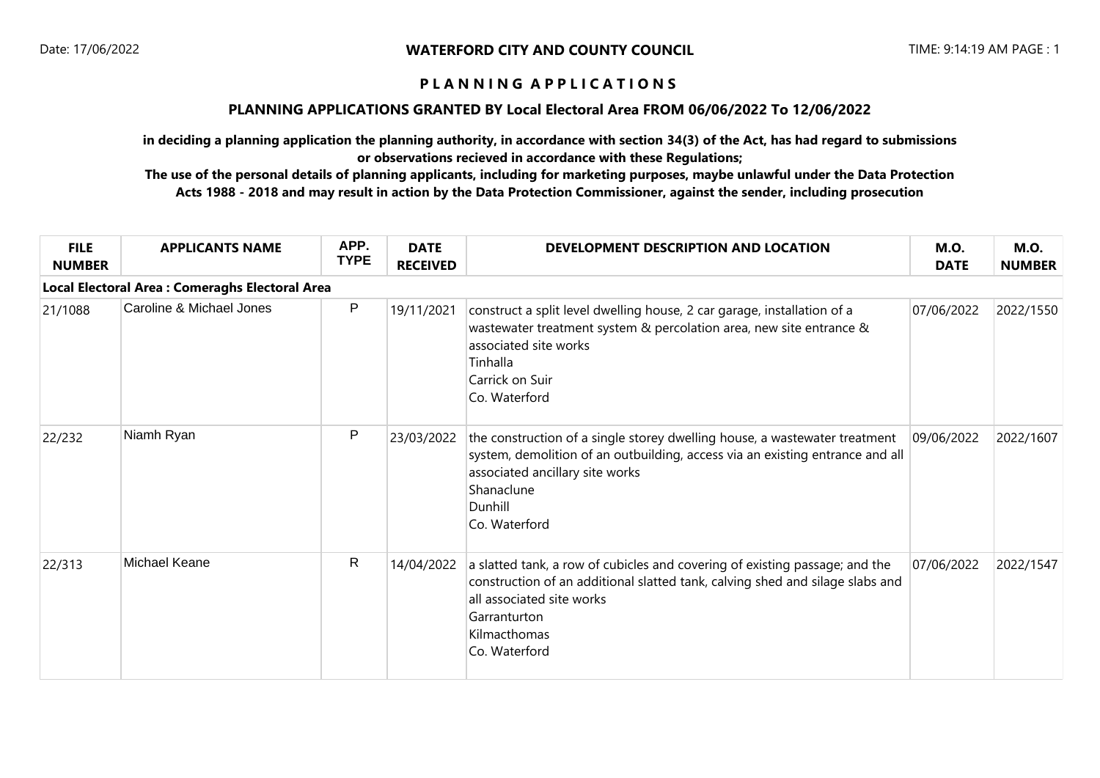## **PLANNING APPLICATIONS GRANTED BY Local Electoral Area FROM 06/06/2022 To 12/06/2022**

**in deciding a planning application the planning authority, in accordance with section 34(3) of the Act, has had regard to submissions or observations recieved in accordance with these Regulations;**

| <b>FILE</b><br><b>NUMBER</b> | <b>APPLICANTS NAME</b>                          | APP.<br><b>TYPE</b> | <b>DATE</b><br><b>RECEIVED</b> | DEVELOPMENT DESCRIPTION AND LOCATION                                                                                                                                                                                                       | <b>M.O.</b><br><b>DATE</b> | <b>M.O.</b><br><b>NUMBER</b> |
|------------------------------|-------------------------------------------------|---------------------|--------------------------------|--------------------------------------------------------------------------------------------------------------------------------------------------------------------------------------------------------------------------------------------|----------------------------|------------------------------|
|                              | Local Electoral Area : Comeraghs Electoral Area |                     |                                |                                                                                                                                                                                                                                            |                            |                              |
| 21/1088                      | Caroline & Michael Jones                        | P                   | 19/11/2021                     | construct a split level dwelling house, 2 car garage, installation of a<br>wastewater treatment system & percolation area, new site entrance &<br>associated site works<br>Tinhalla<br>Carrick on Suir<br>Co. Waterford                    | 07/06/2022                 | 2022/1550                    |
| 22/232                       | Niamh Ryan                                      | P                   | 23/03/2022                     | the construction of a single storey dwelling house, a wastewater treatment<br>system, demolition of an outbuilding, access via an existing entrance and all<br>associated ancillary site works<br>Shanaclune<br>Dunhill<br>Co. Waterford   | 09/06/2022                 | 2022/1607                    |
| 22/313                       | Michael Keane                                   | R                   | 14/04/2022                     | a slatted tank, a row of cubicles and covering of existing passage; and the<br>construction of an additional slatted tank, calving shed and silage slabs and<br>all associated site works<br>Garranturton<br>Kilmacthomas<br>Co. Waterford | 07/06/2022                 | 2022/1547                    |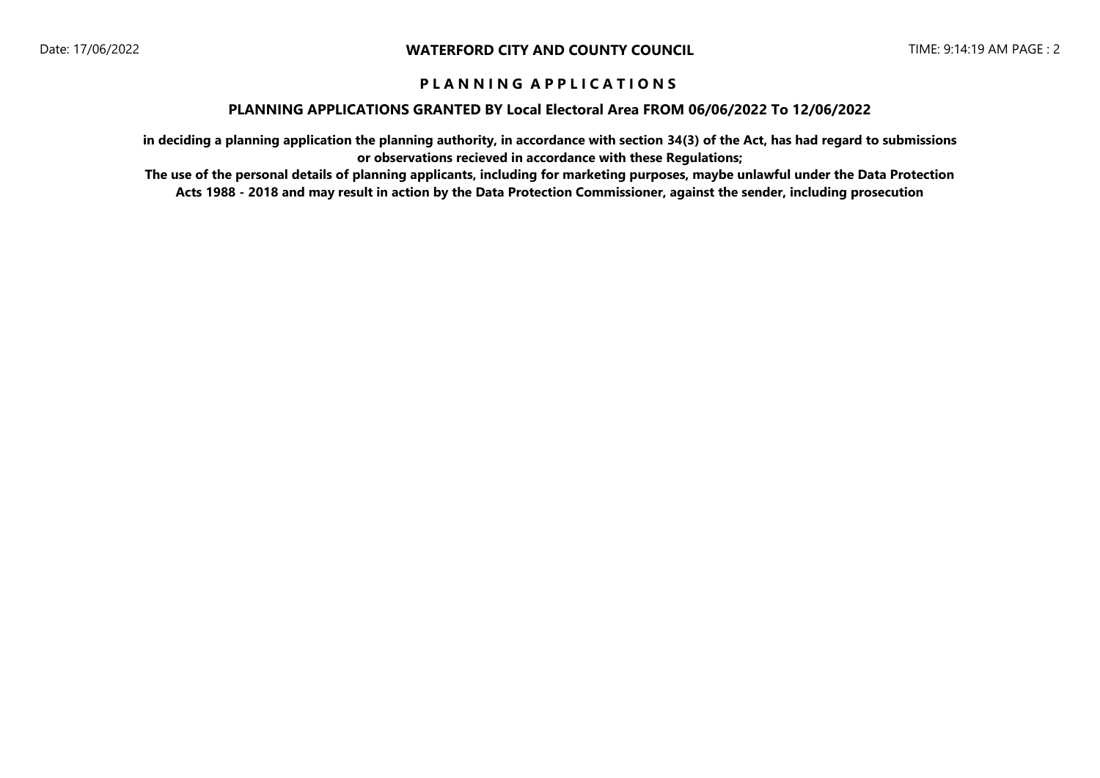### **PLANNING APPLICATIONS GRANTED BY Local Electoral Area FROM 06/06/2022 To 12/06/2022**

**in deciding a planning application the planning authority, in accordance with section 34(3) of the Act, has had regard to submissions or observations recieved in accordance with these Regulations;**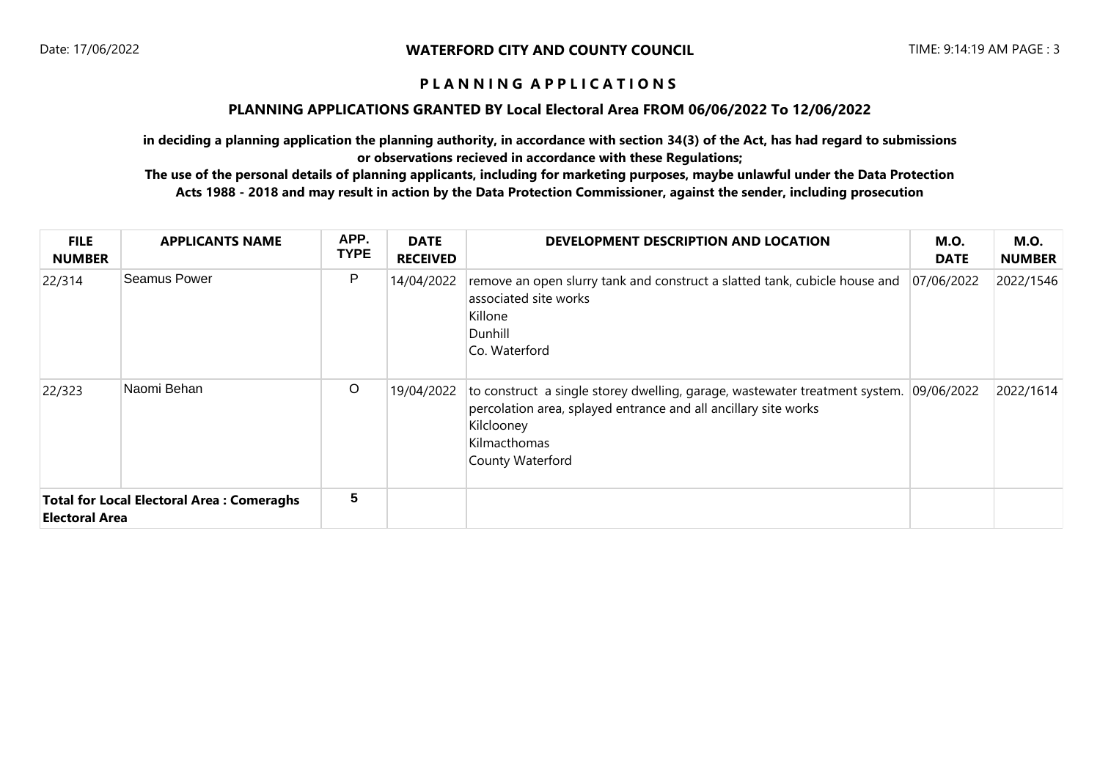### **PLANNING APPLICATIONS GRANTED BY Local Electoral Area FROM 06/06/2022 To 12/06/2022**

**in deciding a planning application the planning authority, in accordance with section 34(3) of the Act, has had regard to submissions or observations recieved in accordance with these Regulations;**

| <b>FILE</b><br><b>NUMBER</b> | <b>APPLICANTS NAME</b>                           | APP.<br><b>TYPE</b> | <b>DATE</b><br><b>RECEIVED</b> | DEVELOPMENT DESCRIPTION AND LOCATION                                                                                                                                                             | <b>M.O.</b><br><b>DATE</b> | <b>M.O.</b><br><b>NUMBER</b> |
|------------------------------|--------------------------------------------------|---------------------|--------------------------------|--------------------------------------------------------------------------------------------------------------------------------------------------------------------------------------------------|----------------------------|------------------------------|
| 22/314                       | <b>Seamus Power</b>                              | P                   | 14/04/2022                     | remove an open slurry tank and construct a slatted tank, cubicle house and<br>associated site works<br>Killone<br>Dunhill<br>Co. Waterford                                                       | 07/06/2022                 | 2022/1546                    |
| 22/323                       | Naomi Behan                                      | $\circ$             | 19/04/2022                     | to construct a single storey dwelling, garage, wastewater treatment system.<br>percolation area, splayed entrance and all ancillary site works<br>Kilclooney<br>Kilmacthomas<br>County Waterford | 09/06/2022                 | 2022/1614                    |
| <b>Electoral Area</b>        | <b>Total for Local Electoral Area: Comeraghs</b> | 5                   |                                |                                                                                                                                                                                                  |                            |                              |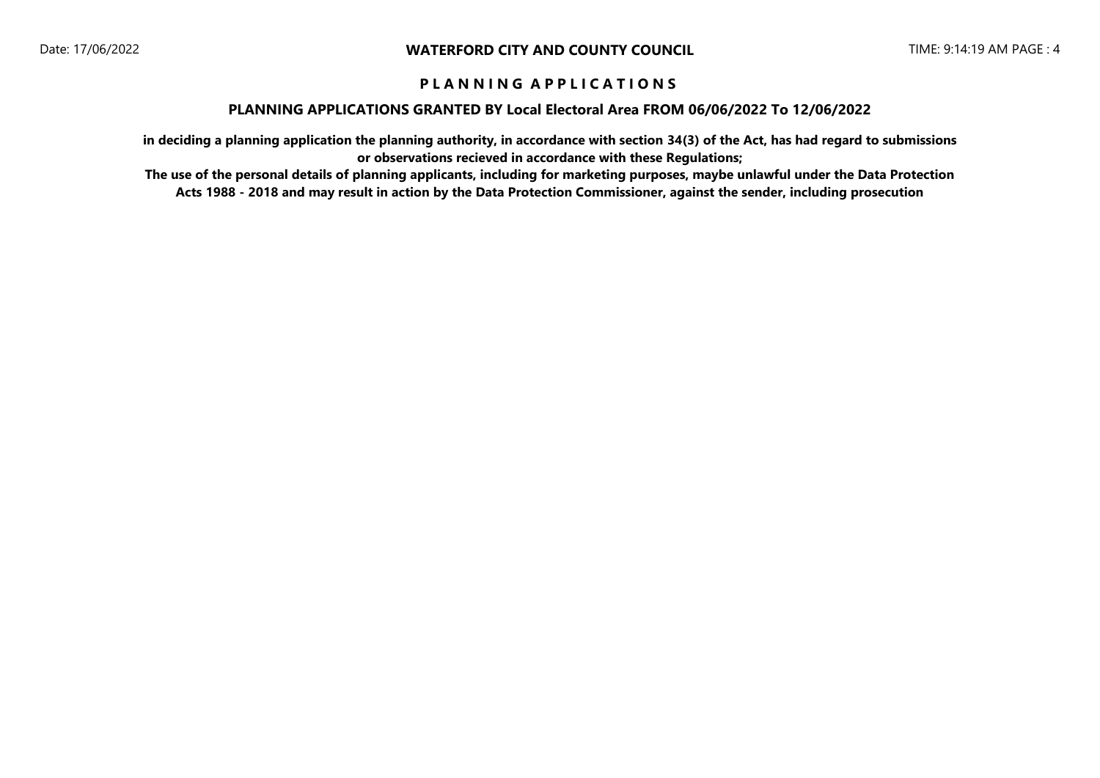### **PLANNING APPLICATIONS GRANTED BY Local Electoral Area FROM 06/06/2022 To 12/06/2022**

**in deciding a planning application the planning authority, in accordance with section 34(3) of the Act, has had regard to submissions or observations recieved in accordance with these Regulations;**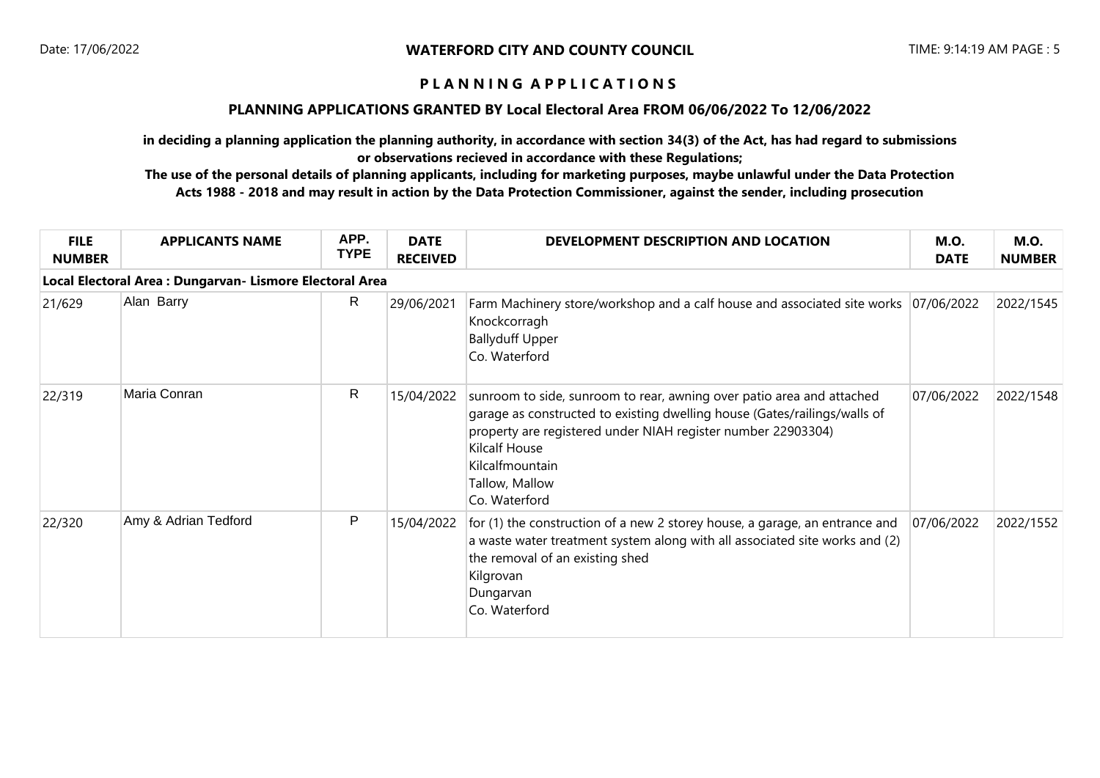## **PLANNING APPLICATIONS GRANTED BY Local Electoral Area FROM 06/06/2022 To 12/06/2022**

**in deciding a planning application the planning authority, in accordance with section 34(3) of the Act, has had regard to submissions or observations recieved in accordance with these Regulations;**

| <b>FILE</b><br><b>NUMBER</b> | <b>APPLICANTS NAME</b>                                   | APP.<br><b>TYPE</b> | <b>DATE</b><br><b>RECEIVED</b> | DEVELOPMENT DESCRIPTION AND LOCATION                                                                                                                                                                                                                                                             | <b>M.O.</b><br><b>DATE</b> | <b>M.O.</b><br><b>NUMBER</b> |
|------------------------------|----------------------------------------------------------|---------------------|--------------------------------|--------------------------------------------------------------------------------------------------------------------------------------------------------------------------------------------------------------------------------------------------------------------------------------------------|----------------------------|------------------------------|
|                              | Local Electoral Area : Dungarvan- Lismore Electoral Area |                     |                                |                                                                                                                                                                                                                                                                                                  |                            |                              |
| 21/629                       | Alan Barry                                               | R                   | 29/06/2021                     | Farm Machinery store/workshop and a calf house and associated site works 07/06/2022<br>Knockcorragh<br><b>Ballyduff Upper</b><br>Co. Waterford                                                                                                                                                   |                            | 2022/1545                    |
| 22/319                       | Maria Conran                                             | R                   | 15/04/2022                     | sunroom to side, sunroom to rear, awning over patio area and attached<br>garage as constructed to existing dwelling house (Gates/railings/walls of<br>property are registered under NIAH register number 22903304)<br><b>Kilcalf House</b><br>Kilcalfmountain<br>Tallow, Mallow<br>Co. Waterford | 07/06/2022                 | 2022/1548                    |
| 22/320                       | Amy & Adrian Tedford                                     | P                   | 15/04/2022                     | for (1) the construction of a new 2 storey house, a garage, an entrance and<br>a waste water treatment system along with all associated site works and (2)<br>the removal of an existing shed<br>Kilgrovan<br>Dungarvan<br>Co. Waterford                                                         | 07/06/2022                 | 2022/1552                    |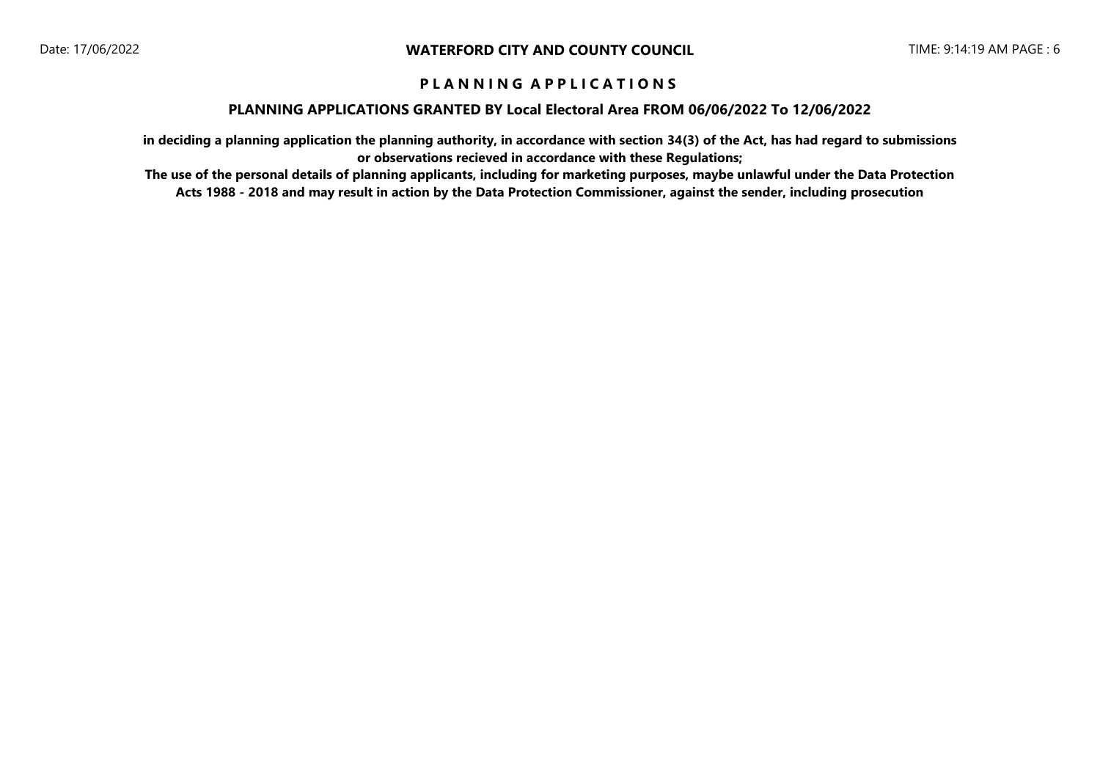### **PLANNING APPLICATIONS GRANTED BY Local Electoral Area FROM 06/06/2022 To 12/06/2022**

**in deciding a planning application the planning authority, in accordance with section 34(3) of the Act, has had regard to submissions or observations recieved in accordance with these Regulations;**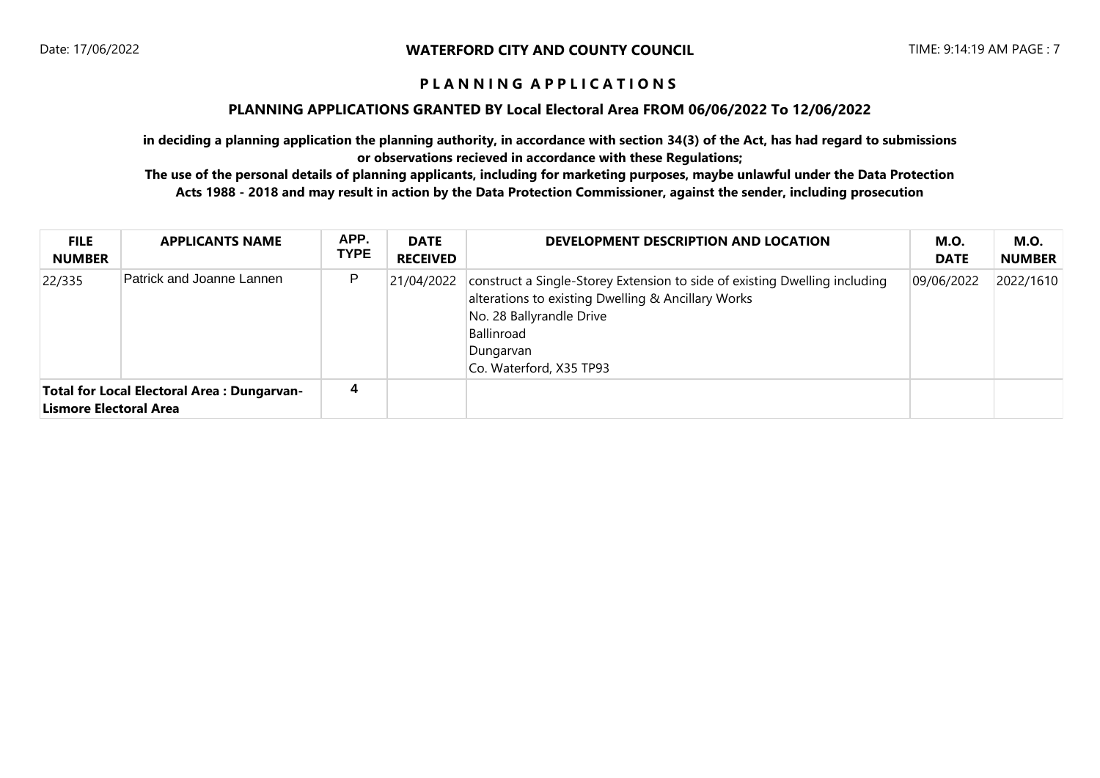### **PLANNING APPLICATIONS GRANTED BY Local Electoral Area FROM 06/06/2022 To 12/06/2022**

**in deciding a planning application the planning authority, in accordance with section 34(3) of the Act, has had regard to submissions or observations recieved in accordance with these Regulations;**

| <b>FILE</b><br><b>NUMBER</b> | <b>APPLICANTS NAME</b>                            | APP.<br><b>TYPE</b> | <b>DATE</b><br><b>RECEIVED</b> | DEVELOPMENT DESCRIPTION AND LOCATION                                                                                                                                                                               | M.O.<br><b>DATE</b> | <b>M.O.</b><br><b>NUMBER</b> |
|------------------------------|---------------------------------------------------|---------------------|--------------------------------|--------------------------------------------------------------------------------------------------------------------------------------------------------------------------------------------------------------------|---------------------|------------------------------|
| 22/335                       | Patrick and Joanne Lannen                         | P                   | 21/04/2022                     | construct a Single-Storey Extension to side of existing Dwelling including<br>alterations to existing Dwelling & Ancillary Works<br>No. 28 Ballyrandle Drive<br>Ballinroad<br>Dungarvan<br>Co. Waterford, X35 TP93 | 09/06/2022          | 2022/1610                    |
| Lismore Electoral Area       | <b>Total for Local Electoral Area: Dungarvan-</b> | 4                   |                                |                                                                                                                                                                                                                    |                     |                              |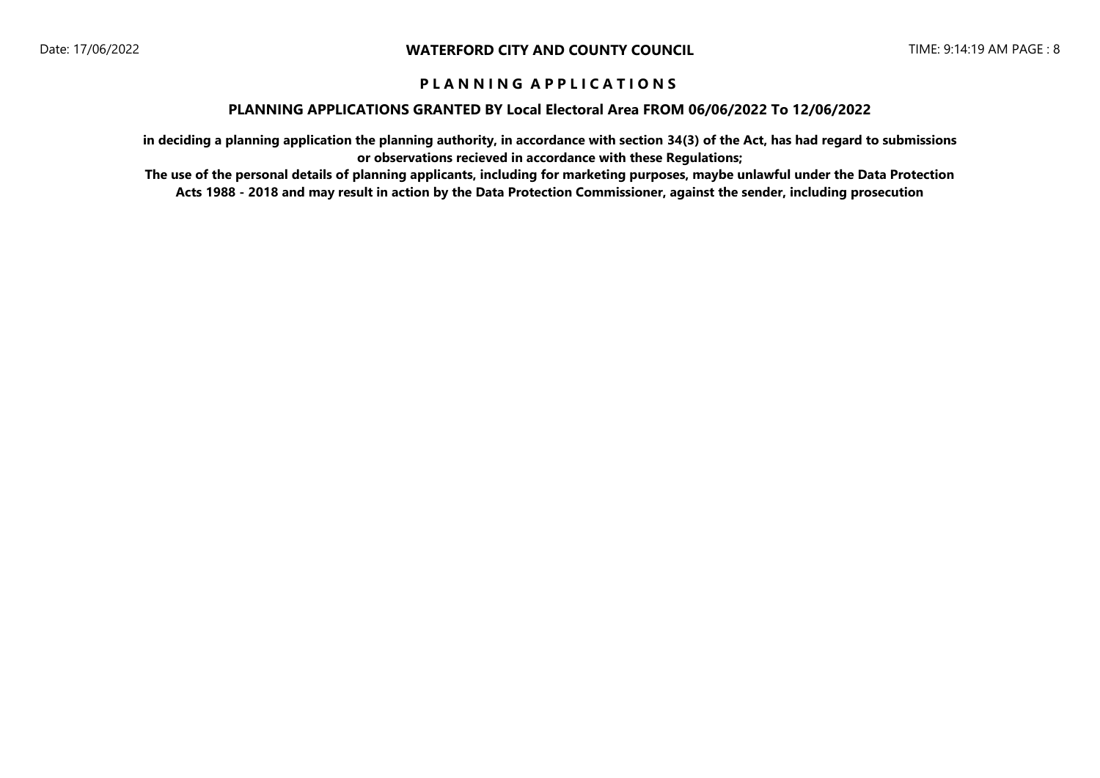### **PLANNING APPLICATIONS GRANTED BY Local Electoral Area FROM 06/06/2022 To 12/06/2022**

**in deciding a planning application the planning authority, in accordance with section 34(3) of the Act, has had regard to submissions or observations recieved in accordance with these Regulations;**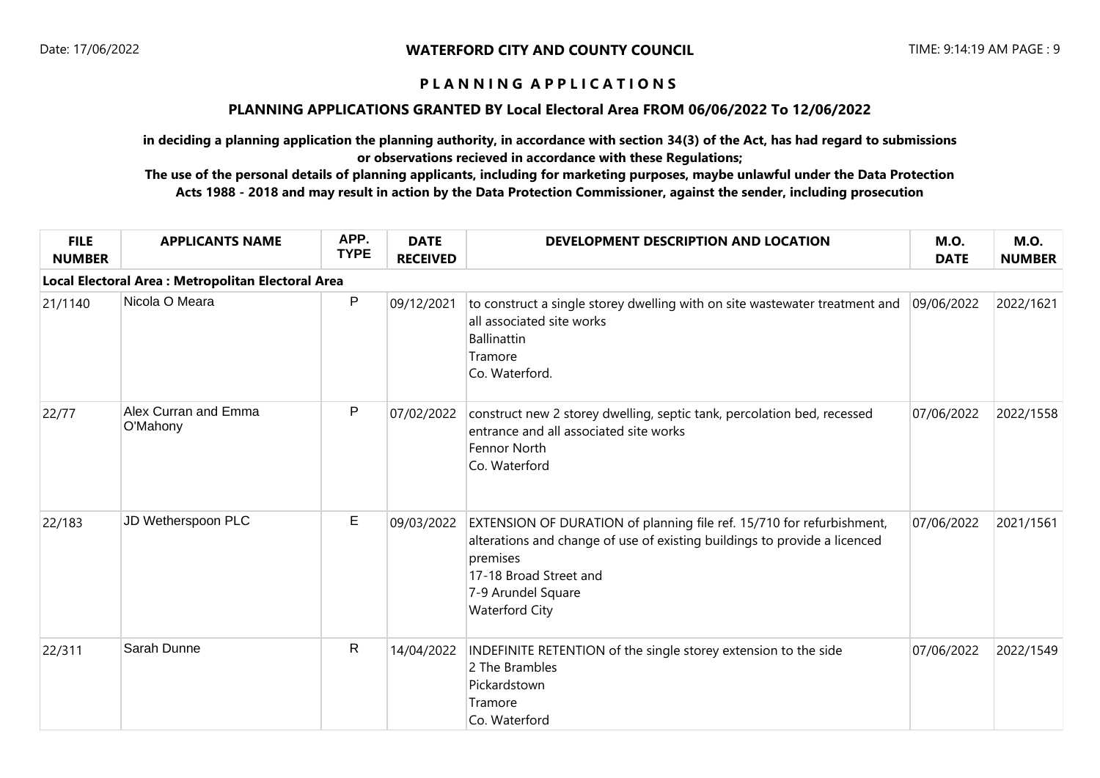## **PLANNING APPLICATIONS GRANTED BY Local Electoral Area FROM 06/06/2022 To 12/06/2022**

**in deciding a planning application the planning authority, in accordance with section 34(3) of the Act, has had regard to submissions or observations recieved in accordance with these Regulations;**

| <b>FILE</b><br><b>NUMBER</b> | <b>APPLICANTS NAME</b>                             | APP.<br><b>TYPE</b> | <b>DATE</b><br><b>RECEIVED</b> | DEVELOPMENT DESCRIPTION AND LOCATION                                                                                                                                                                                                    | <b>M.O.</b><br><b>DATE</b> | <b>M.O.</b><br><b>NUMBER</b> |
|------------------------------|----------------------------------------------------|---------------------|--------------------------------|-----------------------------------------------------------------------------------------------------------------------------------------------------------------------------------------------------------------------------------------|----------------------------|------------------------------|
|                              | Local Electoral Area : Metropolitan Electoral Area |                     |                                |                                                                                                                                                                                                                                         |                            |                              |
| 21/1140                      | Nicola O Meara                                     | P                   | 09/12/2021                     | to construct a single storey dwelling with on site wastewater treatment and<br>all associated site works<br>Ballinattin<br>Tramore<br>Co. Waterford.                                                                                    | 09/06/2022                 | 2022/1621                    |
| 22/77                        | Alex Curran and Emma<br>O'Mahony                   | $\mathsf{P}$        | 07/02/2022                     | construct new 2 storey dwelling, septic tank, percolation bed, recessed<br>entrance and all associated site works<br>Fennor North<br>Co. Waterford                                                                                      | 07/06/2022                 | 2022/1558                    |
| 22/183                       | JD Wetherspoon PLC                                 | $\mathsf E$         | 09/03/2022                     | EXTENSION OF DURATION of planning file ref. 15/710 for refurbishment,<br>alterations and change of use of existing buildings to provide a licenced<br>premises<br>17-18 Broad Street and<br>7-9 Arundel Square<br><b>Waterford City</b> | 07/06/2022                 | 2021/1561                    |
| 22/311                       | Sarah Dunne                                        | R                   | 14/04/2022                     | INDEFINITE RETENTION of the single storey extension to the side<br>2 The Brambles<br>Pickardstown<br>Tramore<br>Co. Waterford                                                                                                           | 07/06/2022                 | 2022/1549                    |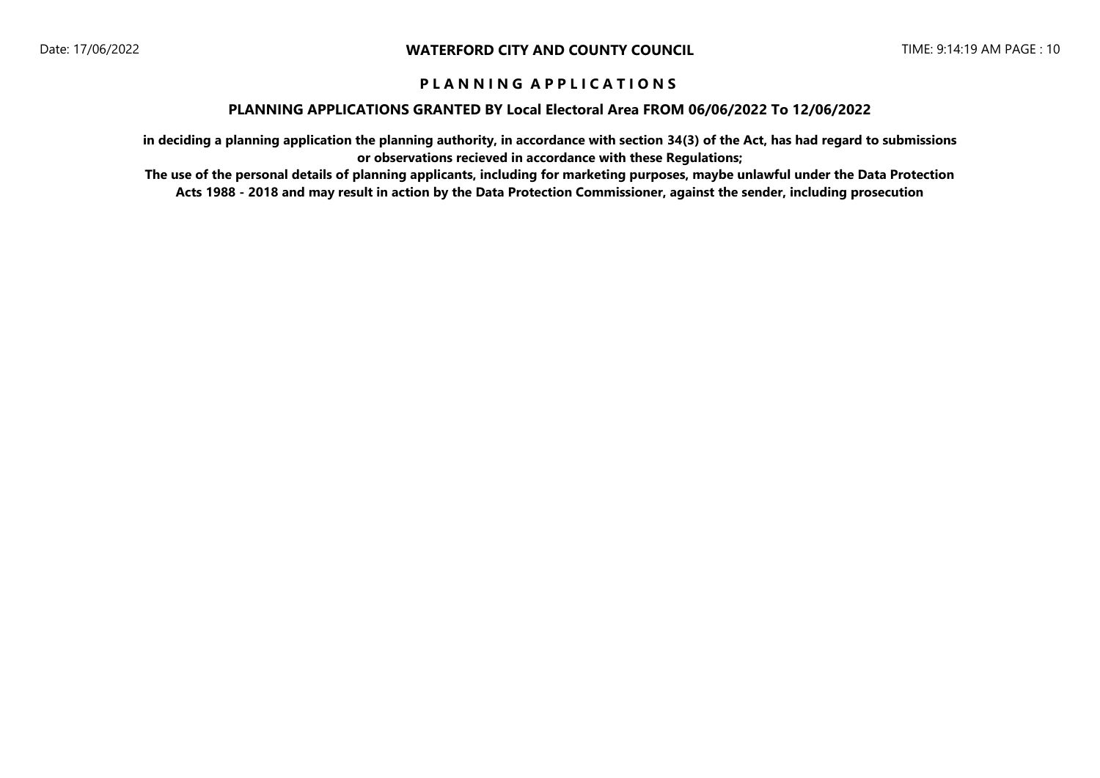### **PLANNING APPLICATIONS GRANTED BY Local Electoral Area FROM 06/06/2022 To 12/06/2022**

**in deciding a planning application the planning authority, in accordance with section 34(3) of the Act, has had regard to submissions or observations recieved in accordance with these Regulations;**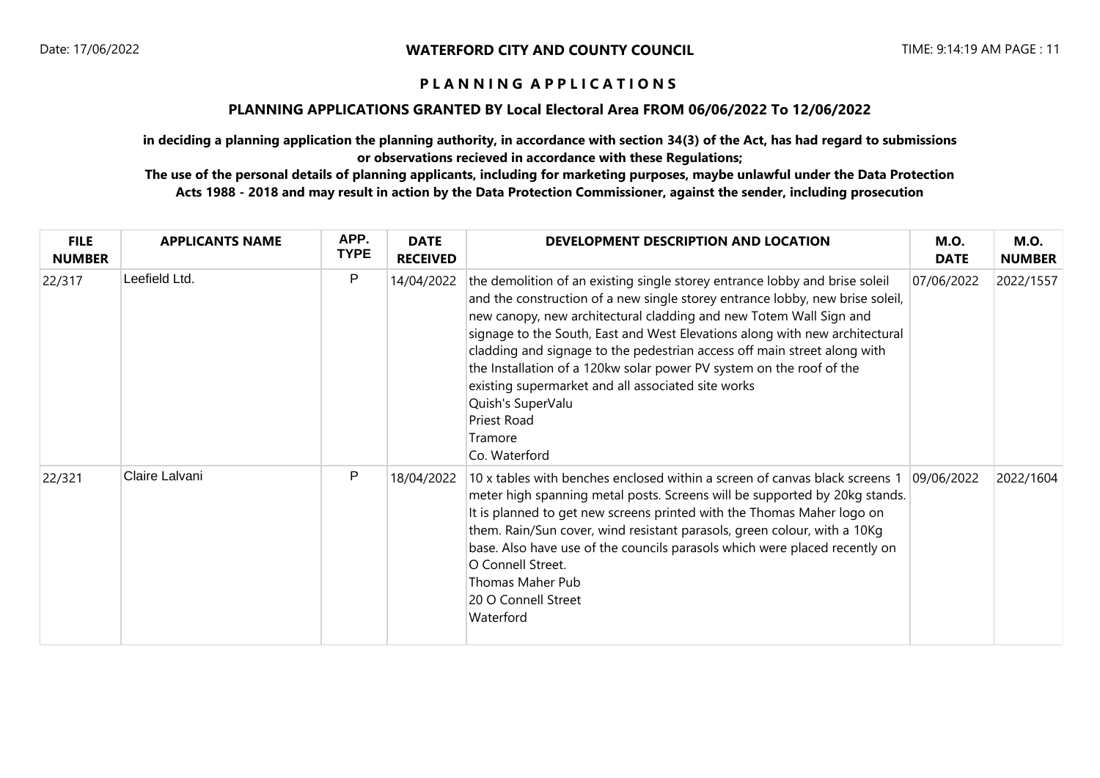## **PLANNING APPLICATIONS GRANTED BY Local Electoral Area FROM 06/06/2022 To 12/06/2022**

**in deciding a planning application the planning authority, in accordance with section 34(3) of the Act, has had regard to submissions or observations recieved in accordance with these Regulations;**

| <b>FILE</b><br><b>NUMBER</b> | <b>APPLICANTS NAME</b> | APP.<br><b>TYPE</b> | <b>DATE</b><br><b>RECEIVED</b> | DEVELOPMENT DESCRIPTION AND LOCATION                                                                                                                                                                                                                                                                                                                                                                                                                                                                                                                                                        | <b>M.O.</b><br><b>DATE</b> | <b>M.O.</b><br><b>NUMBER</b> |
|------------------------------|------------------------|---------------------|--------------------------------|---------------------------------------------------------------------------------------------------------------------------------------------------------------------------------------------------------------------------------------------------------------------------------------------------------------------------------------------------------------------------------------------------------------------------------------------------------------------------------------------------------------------------------------------------------------------------------------------|----------------------------|------------------------------|
| 22/317                       | Leefield Ltd.          | P                   | 14/04/2022                     | the demolition of an existing single storey entrance lobby and brise soleil<br>and the construction of a new single storey entrance lobby, new brise soleil,<br>new canopy, new architectural cladding and new Totem Wall Sign and<br>signage to the South, East and West Elevations along with new architectural<br>cladding and signage to the pedestrian access off main street along with<br>the Installation of a 120kw solar power PV system on the roof of the<br>existing supermarket and all associated site works<br>Quish's SuperValu<br>Priest Road<br>Tramore<br>Co. Waterford | 07/06/2022                 | 2022/1557                    |
| 22/321                       | Claire Lalvani         | P                   | 18/04/2022                     | 10 x tables with benches enclosed within a screen of canvas black screens 1<br>meter high spanning metal posts. Screens will be supported by 20kg stands.<br>It is planned to get new screens printed with the Thomas Maher logo on<br>them. Rain/Sun cover, wind resistant parasols, green colour, with a 10Kg<br>base. Also have use of the councils parasols which were placed recently on<br>O Connell Street.<br>Thomas Maher Pub<br>20 O Connell Street<br>Waterford                                                                                                                  | 09/06/2022                 | 2022/1604                    |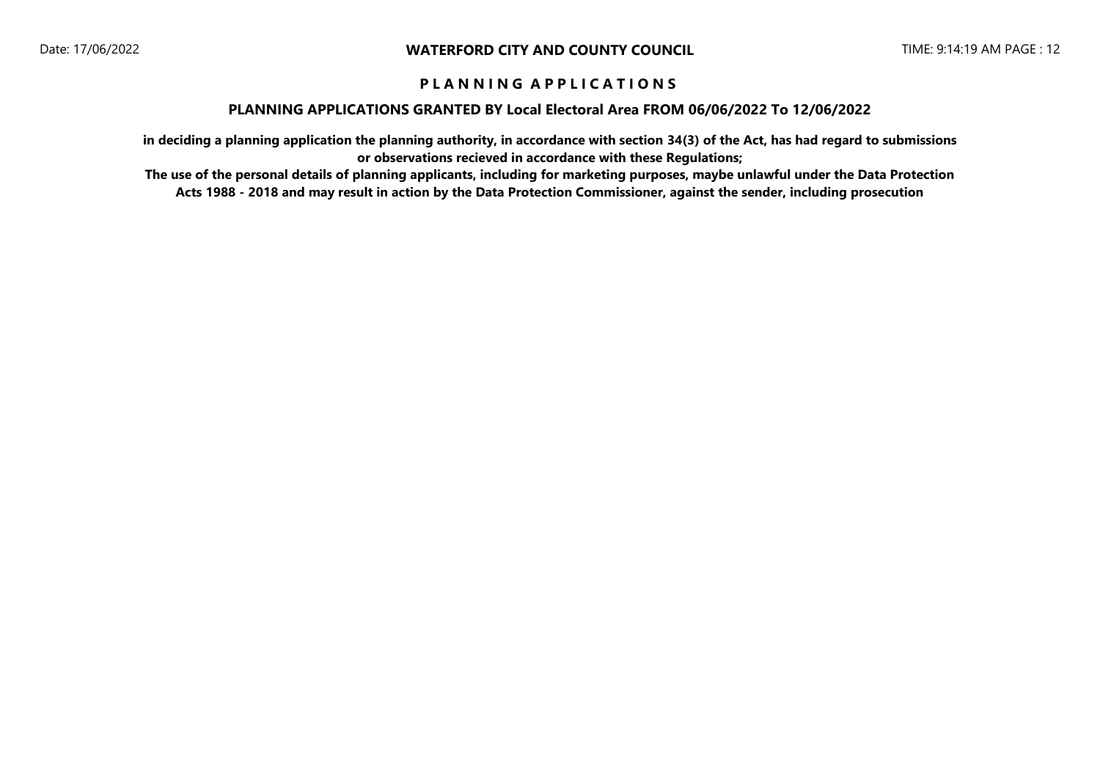### **PLANNING APPLICATIONS GRANTED BY Local Electoral Area FROM 06/06/2022 To 12/06/2022**

**in deciding a planning application the planning authority, in accordance with section 34(3) of the Act, has had regard to submissions or observations recieved in accordance with these Regulations;**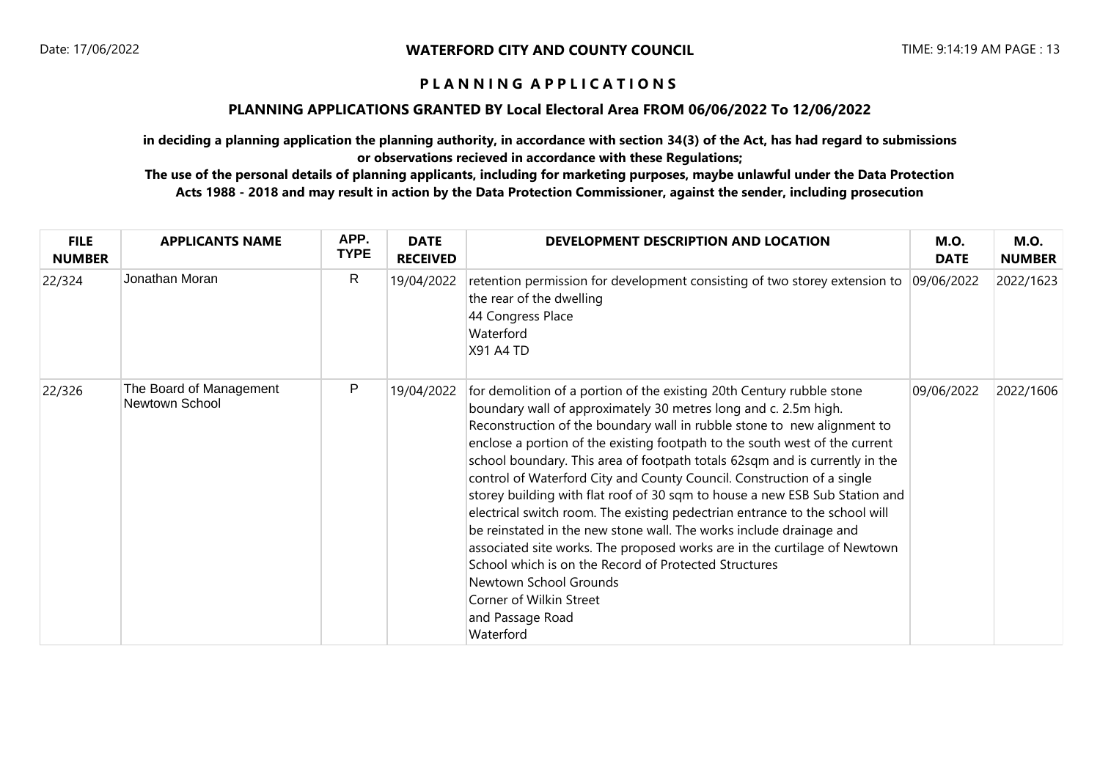## **PLANNING APPLICATIONS GRANTED BY Local Electoral Area FROM 06/06/2022 To 12/06/2022**

**in deciding a planning application the planning authority, in accordance with section 34(3) of the Act, has had regard to submissions or observations recieved in accordance with these Regulations;**

| <b>FILE</b><br><b>NUMBER</b> | <b>APPLICANTS NAME</b>                    | APP.<br><b>TYPE</b> | <b>DATE</b><br><b>RECEIVED</b> | DEVELOPMENT DESCRIPTION AND LOCATION                                                                                                                                                                                                                                                                                                                                                                                                                                                                                                                                                                                                                                                                                                                                                                                                                                                                                         | <b>M.O.</b><br><b>DATE</b> | <b>M.O.</b><br><b>NUMBER</b> |
|------------------------------|-------------------------------------------|---------------------|--------------------------------|------------------------------------------------------------------------------------------------------------------------------------------------------------------------------------------------------------------------------------------------------------------------------------------------------------------------------------------------------------------------------------------------------------------------------------------------------------------------------------------------------------------------------------------------------------------------------------------------------------------------------------------------------------------------------------------------------------------------------------------------------------------------------------------------------------------------------------------------------------------------------------------------------------------------------|----------------------------|------------------------------|
| 22/324                       | Jonathan Moran                            | R.                  | 19/04/2022                     | retention permission for development consisting of two storey extension to<br>the rear of the dwelling<br>44 Congress Place<br>Waterford<br><b>X91 A4 TD</b>                                                                                                                                                                                                                                                                                                                                                                                                                                                                                                                                                                                                                                                                                                                                                                 | 09/06/2022                 | 2022/1623                    |
| 22/326                       | The Board of Management<br>Newtown School | P                   | 19/04/2022                     | for demolition of a portion of the existing 20th Century rubble stone<br>boundary wall of approximately 30 metres long and c. 2.5m high.<br>Reconstruction of the boundary wall in rubble stone to new alignment to<br>enclose a portion of the existing footpath to the south west of the current<br>school boundary. This area of footpath totals 62sqm and is currently in the<br>control of Waterford City and County Council. Construction of a single<br>storey building with flat roof of 30 sqm to house a new ESB Sub Station and<br>electrical switch room. The existing pedectrian entrance to the school will<br>be reinstated in the new stone wall. The works include drainage and<br>associated site works. The proposed works are in the curtilage of Newtown<br>School which is on the Record of Protected Structures<br>Newtown School Grounds<br>Corner of Wilkin Street<br>and Passage Road<br>Waterford | 09/06/2022                 | 2022/1606                    |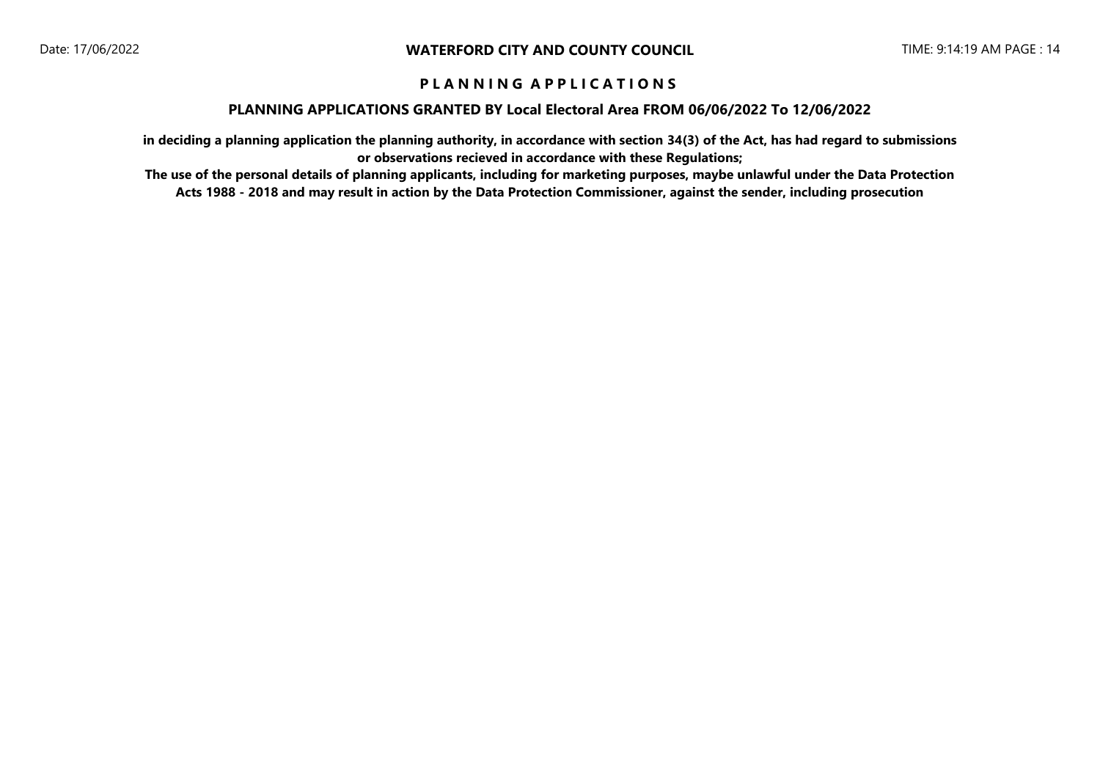### **PLANNING APPLICATIONS GRANTED BY Local Electoral Area FROM 06/06/2022 To 12/06/2022**

**in deciding a planning application the planning authority, in accordance with section 34(3) of the Act, has had regard to submissions or observations recieved in accordance with these Regulations;**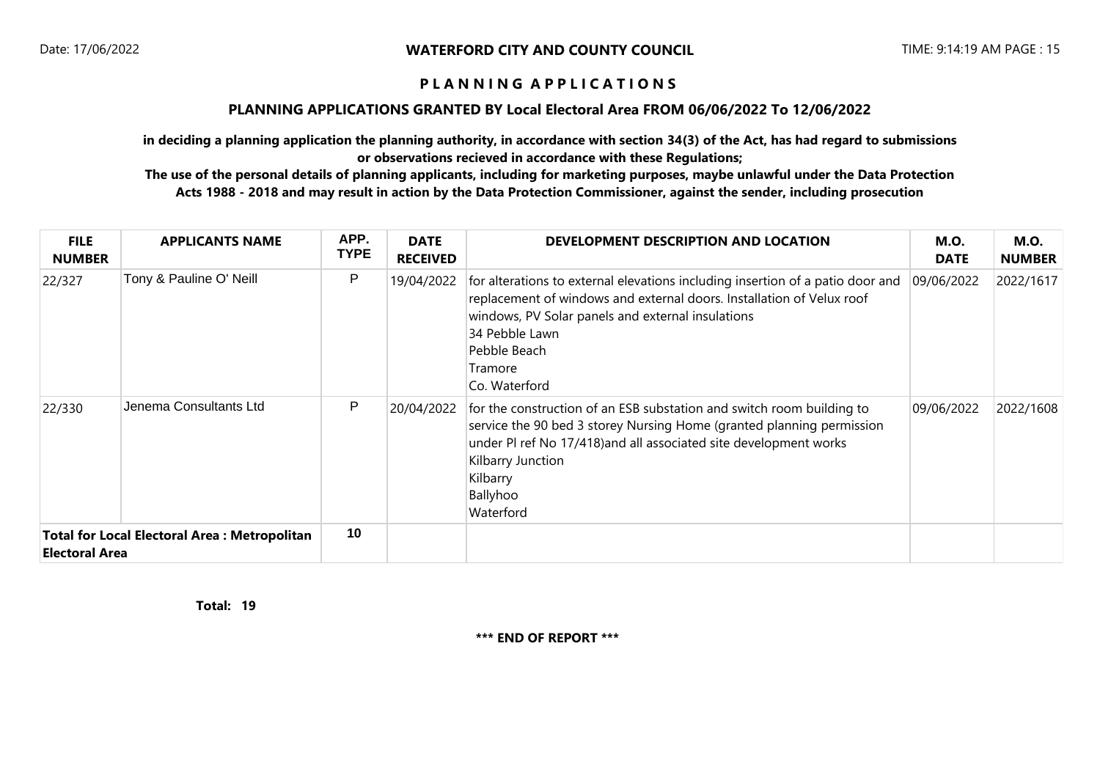### **PLANNING APPLICATIONS GRANTED BY Local Electoral Area FROM 06/06/2022 To 12/06/2022**

**in deciding a planning application the planning authority, in accordance with section 34(3) of the Act, has had regard to submissions or observations recieved in accordance with these Regulations;**

**The use of the personal details of planning applicants, including for marketing purposes, maybe unlawful under the Data Protection Acts 1988 - 2018 and may result in action by the Data Protection Commissioner, against the sender, including prosecution**

| <b>FILE</b><br><b>NUMBER</b>                                                 | <b>APPLICANTS NAME</b>  | APP.<br><b>TYPE</b> | <b>DATE</b><br><b>RECEIVED</b> | DEVELOPMENT DESCRIPTION AND LOCATION                                                                                                                                                                                                                                          | <b>M.O.</b><br><b>DATE</b> | <b>M.O.</b><br><b>NUMBER</b> |
|------------------------------------------------------------------------------|-------------------------|---------------------|--------------------------------|-------------------------------------------------------------------------------------------------------------------------------------------------------------------------------------------------------------------------------------------------------------------------------|----------------------------|------------------------------|
| 22/327                                                                       | Tony & Pauline O' Neill | P                   | 19/04/2022                     | for alterations to external elevations including insertion of a patio door and<br>replacement of windows and external doors. Installation of Velux roof<br>windows, PV Solar panels and external insulations<br>34 Pebble Lawn<br>Pebble Beach<br>Tramore<br>Co. Waterford    | 09/06/2022                 | 2022/1617                    |
| 22/330                                                                       | Jenema Consultants Ltd  | P                   | 20/04/2022                     | for the construction of an ESB substation and switch room building to<br>service the 90 bed 3 storey Nursing Home (granted planning permission<br>under PI ref No 17/418) and all associated site development works<br>Kilbarry Junction<br>Kilbarry<br>Ballyhoo<br>Waterford | 09/06/2022                 | 2022/1608                    |
| <b>Total for Local Electoral Area: Metropolitan</b><br><b>Electoral Area</b> |                         | 10                  |                                |                                                                                                                                                                                                                                                                               |                            |                              |

**19 Total:** 

**\*\*\* END OF REPORT \*\*\***